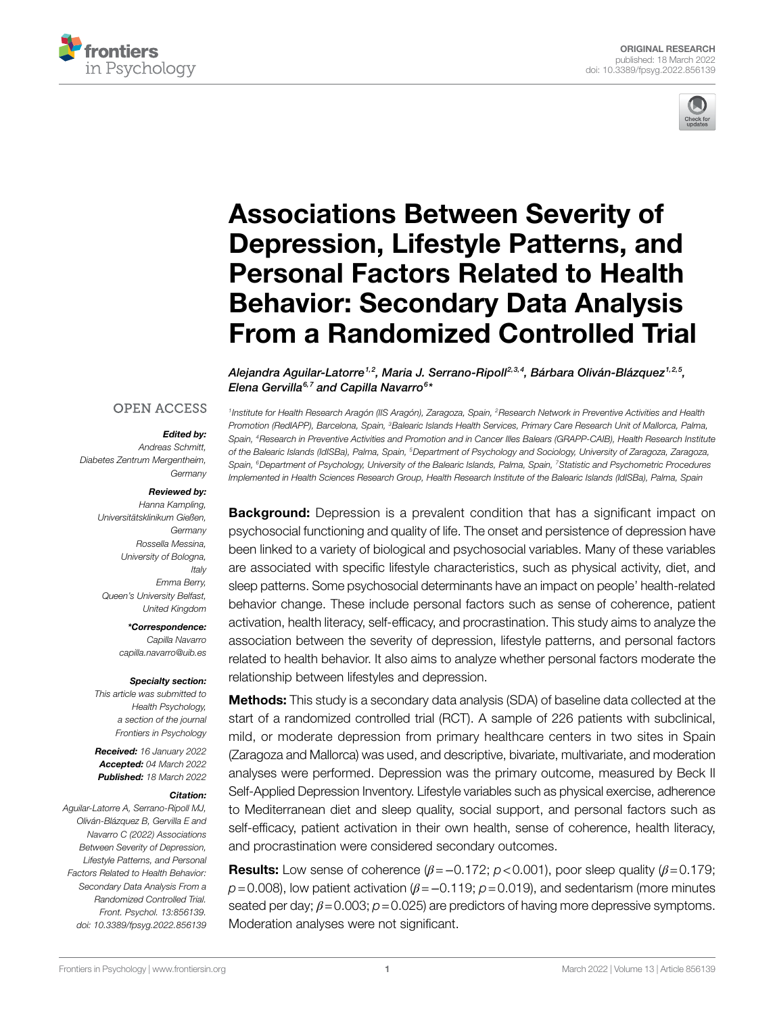



# [Associations Between Severity of](https://www.frontiersin.org/articles/10.3389/fpsyg.2022.856139/full)  [Depression, Lifestyle Patterns, and](https://www.frontiersin.org/articles/10.3389/fpsyg.2022.856139/full)  [Personal Factors Related to Health](https://www.frontiersin.org/articles/10.3389/fpsyg.2022.856139/full)  [Behavior: Secondary Data Analysis](https://www.frontiersin.org/articles/10.3389/fpsyg.2022.856139/full)  [From a Randomized Controlled Trial](https://www.frontiersin.org/articles/10.3389/fpsyg.2022.856139/full)

Alejandra Aguilar-Latorre<sup>1,2</sup>, Maria J. Serrano-Ripoll<sup>2,3,4</sup>, Bárbara Oliván-Blázquez<sup>1,2,5</sup>, *Elena Gervilla6,7 and Capilla Navarro6 \**

#### **OPEN ACCESS**

#### *Edited by:*

*Andreas Schmitt, Diabetes Zentrum Mergentheim, Germany*

#### *Reviewed by:*

*Hanna Kampling, Universitätsklinikum Gießen, Germany Rossella Messina, University of Bologna, Italy Emma Berry, Queen's University Belfast, United Kingdom*

*\*Correspondence:* 

*Capilla Navarro [capilla.navarro@uib.es](mailto:capilla.navarro@uib.es)*

#### *Specialty section:*

*This article was submitted to Health Psychology, a section of the journal Frontiers in Psychology*

*Received: 16 January 2022 Accepted: 04 March 2022 Published: 18 March 2022*

#### *Citation:*

*Aguilar-Latorre A, Serrano-Ripoll MJ, Oliván-Blázquez B, Gervilla E and Navarro C (2022) Associations Between Severity of Depression, Lifestyle Patterns, and Personal Factors Related to Health Behavior: Secondary Data Analysis From a Randomized Controlled Trial. Front. Psychol. 13:856139. [doi: 10.3389/fpsyg.2022.856139](https://doi.org/10.3389/fpsyg.2022.856139)*

*1Institute for Health Research Aragón (IIS Aragón), Zaragoza, Spain, 2Research Network in Preventive Activities and Health Promotion (RedIAPP), Barcelona, Spain, 3Balearic Islands Health Services, Primary Care Research Unit of Mallorca, Palma, Spain, 4Research in Preventive Activities and Promotion and in Cancer Illes Balears (GRAPP-CAIB), Health Research Institute of the Balearic Islands (IdISBa), Palma, Spain, 5Department of Psychology and Sociology, University of Zaragoza, Zaragoza, Spain, 6Department of Psychology, University of the Balearic Islands, Palma, Spain, 7Statistic and Psychometric Procedures Implemented in Health Sciences Research Group, Health Research Institute of the Balearic Islands (IdISBa), Palma, Spain*

**Background:** Depression is a prevalent condition that has a significant impact on psychosocial functioning and quality of life. The onset and persistence of depression have been linked to a variety of biological and psychosocial variables. Many of these variables are associated with specific lifestyle characteristics, such as physical activity, diet, and sleep patterns. Some psychosocial determinants have an impact on people' health-related behavior change. These include personal factors such as sense of coherence, patient activation, health literacy, self-efficacy, and procrastination. This study aims to analyze the association between the severity of depression, lifestyle patterns, and personal factors related to health behavior. It also aims to analyze whether personal factors moderate the relationship between lifestyles and depression.

**Methods:** This study is a secondary data analysis (SDA) of baseline data collected at the start of a randomized controlled trial (RCT). A sample of 226 patients with subclinical, mild, or moderate depression from primary healthcare centers in two sites in Spain (Zaragoza and Mallorca) was used, and descriptive, bivariate, multivariate, and moderation analyses were performed. Depression was the primary outcome, measured by Beck II Self-Applied Depression Inventory. Lifestyle variables such as physical exercise, adherence to Mediterranean diet and sleep quality, social support, and personal factors such as self-efficacy, patient activation in their own health, sense of coherence, health literacy, and procrastination were considered secondary outcomes.

Results: Low sense of coherence (*β*=−0.172; *p*<0.001), poor sleep quality (*β*=0.179; *p*=0.008), low patient activation (*β*=−0.119; *p*=0.019), and sedentarism (more minutes seated per day; *β*=0.003; *p*=0.025) are predictors of having more depressive symptoms. Moderation analyses were not significant.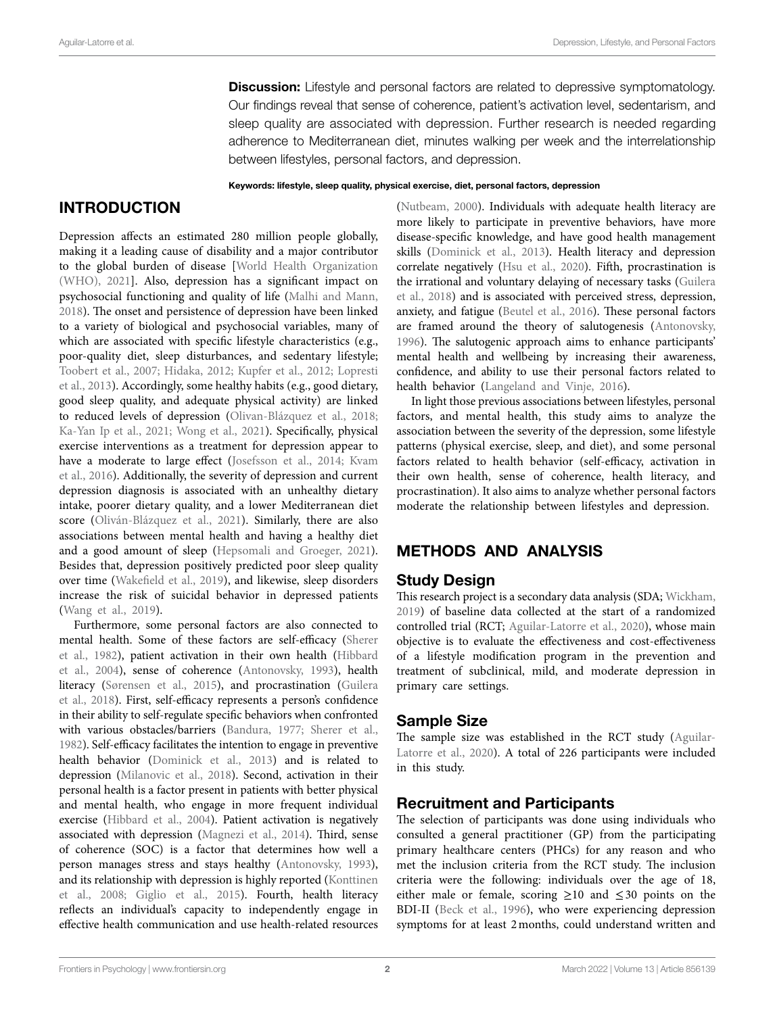**Discussion:** Lifestyle and personal factors are related to depressive symptomatology. Our findings reveal that sense of coherence, patient's activation level, sedentarism, and sleep quality are associated with depression. Further research is needed regarding adherence to Mediterranean diet, minutes walking per week and the interrelationship between lifestyles, personal factors, and depression.

#### Keywords: lifestyle, sleep quality, physical exercise, diet, personal factors, depression

# INTRODUCTION

Depression affects an estimated 280 million people globally, making it a leading cause of disability and a major contributor to the global burden of disease [\[World Health Organization](#page-8-0)  [\(WHO\), 2021](#page-8-0)]. Also, depression has a significant impact on psychosocial functioning and quality of life ([Malhi and Mann,](#page-7-0)  [2018\)](#page-7-0). The onset and persistence of depression have been linked to a variety of biological and psychosocial variables, many of which are associated with specific lifestyle characteristics (e.g., poor-quality diet, sleep disturbances, and sedentary lifestyle; [Toobert et al., 2007;](#page-8-1) [Hidaka, 2012](#page-7-1); [Kupfer et al., 2012](#page-7-2); [Lopresti](#page-7-3)  [et al., 2013\)](#page-7-3). Accordingly, some healthy habits (e.g., good dietary, good sleep quality, and adequate physical activity) are linked to reduced levels of depression ([Olivan-Blázquez et al., 2018](#page-8-2); [Ka-Yan Ip et al., 2021](#page-7-4); [Wong et al., 2021\)](#page-8-3). Specifically, physical exercise interventions as a treatment for depression appear to have a moderate to large effect (Josefsson et al., 2014; Kvam [et al., 2016](#page-7-6)). Additionally, the severity of depression and current depression diagnosis is associated with an unhealthy dietary intake, poorer dietary quality, and a lower Mediterranean diet score ([Oliván-Blázquez et al., 2021\)](#page-8-4). Similarly, there are also associations between mental health and having a healthy diet and a good amount of sleep ([Hepsomali and Groeger, 2021](#page-7-7)). Besides that, depression positively predicted poor sleep quality over time ([Wakefield et al., 2019\)](#page-8-5), and likewise, sleep disorders increase the risk of suicidal behavior in depressed patients ([Wang et al., 2019\)](#page-8-6).

Furthermore, some personal factors are also connected to mental health. Some of these factors are self-efficacy [\(Sherer](#page-8-7)  [et al., 1982](#page-8-7)), patient activation in their own health [\(Hibbard](#page-7-8)  [et al., 2004](#page-7-8)), sense of coherence [\(Antonovsky, 1993\)](#page-7-9), health literacy [\(Sørensen et al., 2015\)](#page-8-8), and procrastination [\(Guilera](#page-7-10)  [et al., 2018\)](#page-7-10). First, self-efficacy represents a person's confidence in their ability to self-regulate specific behaviors when confronted with various obstacles/barriers [\(Bandura, 1977;](#page-7-11) [Sherer et al.,](#page-8-7)  [1982](#page-8-7)). Self-efficacy facilitates the intention to engage in preventive health behavior [\(Dominick et al., 2013](#page-7-12)) and is related to depression ([Milanovic et al., 2018\)](#page-7-13). Second, activation in their personal health is a factor present in patients with better physical and mental health, who engage in more frequent individual exercise [\(Hibbard et al., 2004\)](#page-7-8). Patient activation is negatively associated with depression [\(Magnezi et al., 2014](#page-7-14)). Third, sense of coherence (SOC) is a factor that determines how well a person manages stress and stays healthy ([Antonovsky, 1993](#page-7-9)), and its relationship with depression is highly reported [\(Konttinen](#page-7-15)  [et al., 2008](#page-7-15); [Giglio et al., 2015\)](#page-7-16). Fourth, health literacy reflects an individual's capacity to independently engage in effective health communication and use health-related resources [\(Nutbeam, 2000\)](#page-8-9). Individuals with adequate health literacy are more likely to participate in preventive behaviors, have more disease-specific knowledge, and have good health management skills [\(Dominick et al., 2013\)](#page-7-12). Health literacy and depression correlate negatively [\(Hsu et al., 2020\)](#page-7-17). Fifth, procrastination is the irrational and voluntary delaying of necessary tasks ([Guilera](#page-7-10)  [et al., 2018](#page-7-10)) and is associated with perceived stress, depression, anxiety, and fatigue [\(Beutel et al., 2016](#page-7-18)). These personal factors are framed around the theory of salutogenesis [\(Antonovsky,](#page-7-19)  [1996\)](#page-7-19). The salutogenic approach aims to enhance participants' mental health and wellbeing by increasing their awareness, confidence, and ability to use their personal factors related to health behavior ([Langeland and Vinje, 2016\)](#page-7-20).

In light those previous associations between lifestyles, personal factors, and mental health, this study aims to analyze the association between the severity of the depression, some lifestyle patterns (physical exercise, sleep, and diet), and some personal factors related to health behavior (self-efficacy, activation in their own health, sense of coherence, health literacy, and procrastination). It also aims to analyze whether personal factors moderate the relationship between lifestyles and depression.

## METHODS AND ANALYSIS

## Study Design

This research project is a secondary data analysis (SDA; [Wickham,](#page-8-10)  [2019\)](#page-8-10) of baseline data collected at the start of a randomized controlled trial (RCT; [Aguilar-Latorre et al., 2020](#page-6-0)), whose main objective is to evaluate the effectiveness and cost-effectiveness of a lifestyle modification program in the prevention and treatment of subclinical, mild, and moderate depression in primary care settings.

## Sample Size

The sample size was established in the RCT study [\(Aguilar-](#page-6-0)[Latorre et al., 2020](#page-6-0)). A total of 226 participants were included in this study.

## Recruitment and Participants

The selection of participants was done using individuals who consulted a general practitioner (GP) from the participating primary healthcare centers (PHCs) for any reason and who met the inclusion criteria from the RCT study. The inclusion criteria were the following: individuals over the age of 18, either male or female, scoring  $\geq 10$  and  $\leq 30$  points on the BDI-II (Beck et al., 1996), who were experiencing depression symptoms for at least 2months, could understand written and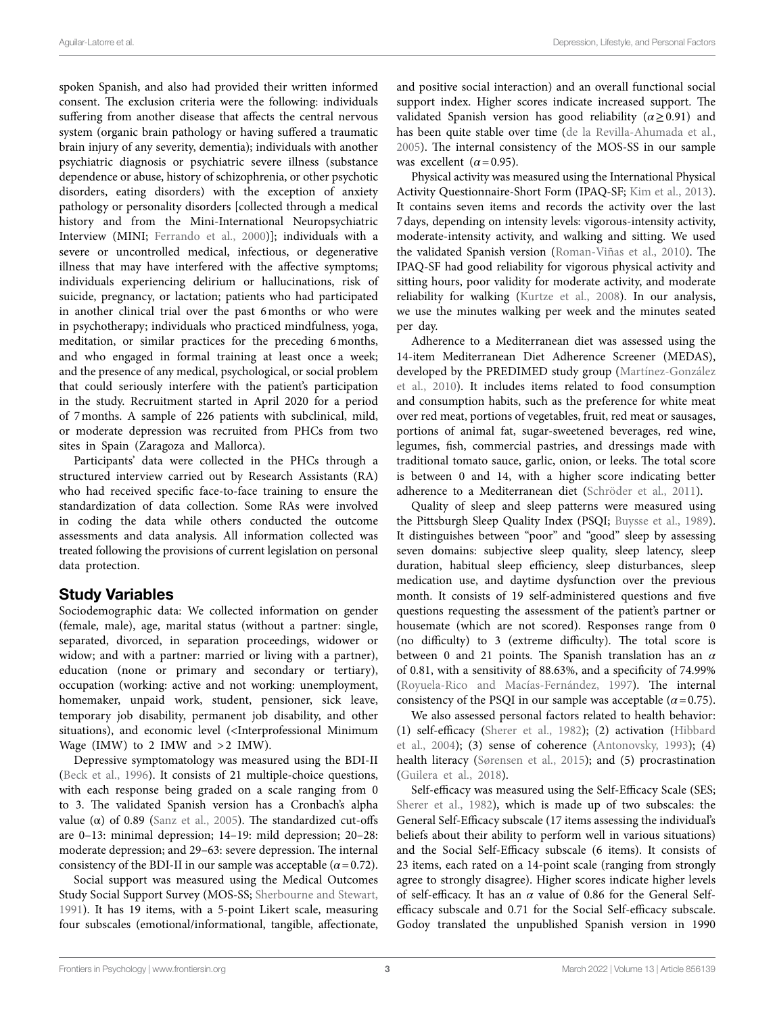spoken Spanish, and also had provided their written informed consent. The exclusion criteria were the following: individuals suffering from another disease that affects the central nervous system (organic brain pathology or having suffered a traumatic brain injury of any severity, dementia); individuals with another psychiatric diagnosis or psychiatric severe illness (substance dependence or abuse, history of schizophrenia, or other psychotic disorders, eating disorders) with the exception of anxiety pathology or personality disorders [collected through a medical history and from the Mini-International Neuropsychiatric Interview (MINI; [Ferrando et al., 2000](#page-7-22))]; individuals with a severe or uncontrolled medical, infectious, or degenerative illness that may have interfered with the affective symptoms; individuals experiencing delirium or hallucinations, risk of suicide, pregnancy, or lactation; patients who had participated in another clinical trial over the past 6months or who were in psychotherapy; individuals who practiced mindfulness, yoga, meditation, or similar practices for the preceding 6months, and who engaged in formal training at least once a week; and the presence of any medical, psychological, or social problem that could seriously interfere with the patient's participation in the study. Recruitment started in April 2020 for a period of 7months. A sample of 226 patients with subclinical, mild, or moderate depression was recruited from PHCs from two sites in Spain (Zaragoza and Mallorca).

Participants' data were collected in the PHCs through a structured interview carried out by Research Assistants (RA) who had received specific face-to-face training to ensure the standardization of data collection. Some RAs were involved in coding the data while others conducted the outcome assessments and data analysis. All information collected was treated following the provisions of current legislation on personal data protection.

# Study Variables

Sociodemographic data: We collected information on gender (female, male), age, marital status (without a partner: single, separated, divorced, in separation proceedings, widower or widow; and with a partner: married or living with a partner), education (none or primary and secondary or tertiary), occupation (working: active and not working: unemployment, homemaker, unpaid work, student, pensioner, sick leave, temporary job disability, permanent job disability, and other situations), and economic level (<Interprofessional Minimum Wage (IMW) to 2 IMW and  $>2$  IMW).

Depressive symptomatology was measured using the BDI-II ([Beck et al., 1996\)](#page-7-21). It consists of 21 multiple-choice questions, with each response being graded on a scale ranging from 0 to 3. The validated Spanish version has a Cronbach's alpha value (α) of 0.89 (Sanz et al., 2005). The standardized cut-offs are 0–13: minimal depression; 14–19: mild depression; 20–28: moderate depression; and 29–63: severe depression. The internal consistency of the BDI-II in our sample was acceptable  $(\alpha = 0.72)$ .

Social support was measured using the Medical Outcomes Study Social Support Survey (MOS-SS; [Sherbourne and Stewart,](#page-8-12)  [1991\)](#page-8-12). It has 19 items, with a 5-point Likert scale, measuring four subscales (emotional/informational, tangible, affectionate, and positive social interaction) and an overall functional social support index. Higher scores indicate increased support. The validated Spanish version has good reliability  $(\alpha \geq 0.91)$  and has been quite stable over time ([de la Revilla-Ahumada et al.,](#page-7-23)  [2005\)](#page-7-23). The internal consistency of the MOS-SS in our sample was excellent  $(\alpha = 0.95)$ .

Physical activity was measured using the International Physical Activity Questionnaire-Short Form (IPAQ-SF; [Kim et al., 2013](#page-7-24)). It contains seven items and records the activity over the last 7days, depending on intensity levels: vigorous-intensity activity, moderate-intensity activity, and walking and sitting. We used the validated Spanish version ([Roman-Viñas et al., 2010\)](#page-8-13). The IPAQ-SF had good reliability for vigorous physical activity and sitting hours, poor validity for moderate activity, and moderate reliability for walking ([Kurtze et al., 2008](#page-7-25)). In our analysis, we use the minutes walking per week and the minutes seated per day.

Adherence to a Mediterranean diet was assessed using the 14-item Mediterranean Diet Adherence Screener (MEDAS), developed by the PREDIMED study group [\(Martínez-González](#page-7-26)  [et al., 2010\)](#page-7-26). It includes items related to food consumption and consumption habits, such as the preference for white meat over red meat, portions of vegetables, fruit, red meat or sausages, portions of animal fat, sugar-sweetened beverages, red wine, legumes, fish, commercial pastries, and dressings made with traditional tomato sauce, garlic, onion, or leeks. The total score is between 0 and 14, with a higher score indicating better adherence to a Mediterranean diet [\(Schröder et al., 2011\)](#page-8-14).

Quality of sleep and sleep patterns were measured using the Pittsburgh Sleep Quality Index (PSQI; [Buysse et al., 1989](#page-7-27)). It distinguishes between "poor" and "good" sleep by assessing seven domains: subjective sleep quality, sleep latency, sleep duration, habitual sleep efficiency, sleep disturbances, sleep medication use, and daytime dysfunction over the previous month. It consists of 19 self-administered questions and five questions requesting the assessment of the patient's partner or housemate (which are not scored). Responses range from 0 (no difficulty) to 3 (extreme difficulty). The total score is between 0 and 21 points. The Spanish translation has an *α* of 0.81, with a sensitivity of 88.63%, and a specificity of 74.99% [\(Royuela-Rico and Macías-Fernández, 1997\)](#page-8-15). The internal consistency of the PSQI in our sample was acceptable  $(\alpha = 0.75)$ .

We also assessed personal factors related to health behavior: (1) self-efficacy ([Sherer et al., 1982](#page-8-7)); (2) activation [\(Hibbard](#page-7-8)  [et al., 2004\)](#page-7-8); (3) sense of coherence ([Antonovsky, 1993\)](#page-7-9); (4) health literacy [\(Sørensen et al., 2015](#page-8-8)); and (5) procrastination [\(Guilera et al., 2018](#page-7-10)).

Self-efficacy was measured using the Self-Efficacy Scale (SES; [Sherer et al., 1982](#page-8-7)), which is made up of two subscales: the General Self-Efficacy subscale (17 items assessing the individual's beliefs about their ability to perform well in various situations) and the Social Self-Efficacy subscale (6 items). It consists of 23 items, each rated on a 14-point scale (ranging from strongly agree to strongly disagree). Higher scores indicate higher levels of self-efficacy. It has an  $\alpha$  value of 0.86 for the General Selfefficacy subscale and 0.71 for the Social Self-efficacy subscale. Godoy translated the unpublished Spanish version in 1990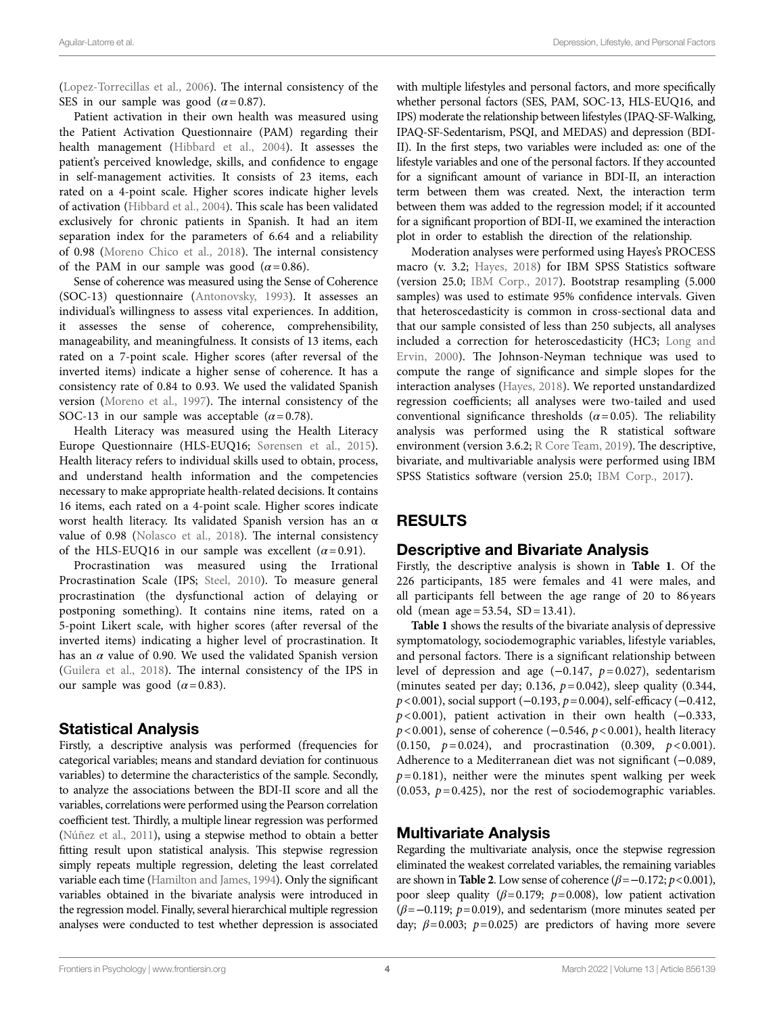([Lopez-Torrecillas et al., 2006](#page-7-28)). The internal consistency of the SES in our sample was good  $(\alpha = 0.87)$ .

Patient activation in their own health was measured using the Patient Activation Questionnaire (PAM) regarding their health management ([Hibbard et al., 2004\)](#page-7-8). It assesses the patient's perceived knowledge, skills, and confidence to engage in self-management activities. It consists of 23 items, each rated on a 4-point scale. Higher scores indicate higher levels of activation [\(Hibbard et al., 2004](#page-7-8)). This scale has been validated exclusively for chronic patients in Spanish. It had an item separation index for the parameters of 6.64 and a reliability of 0.98 [\(Moreno Chico et al., 2018](#page-7-29)). The internal consistency of the PAM in our sample was good  $(\alpha = 0.86)$ .

Sense of coherence was measured using the Sense of Coherence (SOC-13) questionnaire [\(Antonovsky, 1993\)](#page-7-9). It assesses an individual's willingness to assess vital experiences. In addition, it assesses the sense of coherence, comprehensibility, manageability, and meaningfulness. It consists of 13 items, each rated on a 7-point scale. Higher scores (after reversal of the inverted items) indicate a higher sense of coherence. It has a consistency rate of 0.84 to 0.93. We used the validated Spanish version [\(Moreno et al., 1997](#page-7-30)). The internal consistency of the SOC-13 in our sample was acceptable  $(\alpha = 0.78)$ .

Health Literacy was measured using the Health Literacy Europe Questionnaire (HLS-EUQ16; [Sørensen et al., 2015](#page-8-8)). Health literacy refers to individual skills used to obtain, process, and understand health information and the competencies necessary to make appropriate health-related decisions. It contains 16 items, each rated on a 4-point scale. Higher scores indicate worst health literacy. Its validated Spanish version has an α value of 0.98 ([Nolasco et al., 2018](#page-8-16)). The internal consistency of the HLS-EUQ16 in our sample was excellent  $(\alpha = 0.91)$ .

Procrastination was measured using the Irrational Procrastination Scale (IPS; [Steel, 2010](#page-8-17)). To measure general procrastination (the dysfunctional action of delaying or postponing something). It contains nine items, rated on a 5-point Likert scale, with higher scores (after reversal of the inverted items) indicating a higher level of procrastination. It has an  $\alpha$  value of 0.90. We used the validated Spanish version ([Guilera et al., 2018](#page-7-10)). The internal consistency of the IPS in our sample was good  $(\alpha = 0.83)$ .

## Statistical Analysis

Firstly, a descriptive analysis was performed (frequencies for categorical variables; means and standard deviation for continuous variables) to determine the characteristics of the sample. Secondly, to analyze the associations between the BDI-II score and all the variables, correlations were performed using the Pearson correlation coefficient test. Thirdly, a multiple linear regression was performed [\(Núñez et al., 2011\)](#page-8-18), using a stepwise method to obtain a better fitting result upon statistical analysis. This stepwise regression simply repeats multiple regression, deleting the least correlated variable each time [\(Hamilton and James, 1994\)](#page-7-31). Only the significant variables obtained in the bivariate analysis were introduced in the regression model. Finally, several hierarchical multiple regression analyses were conducted to test whether depression is associated

with multiple lifestyles and personal factors, and more specifically whether personal factors (SES, PAM, SOC-13, HLS-EUQ16, and IPS) moderate the relationship between lifestyles (IPAQ-SF-Walking, IPAQ-SF-Sedentarism, PSQI, and MEDAS) and depression (BDI-II). In the first steps, two variables were included as: one of the lifestyle variables and one of the personal factors. If they accounted for a significant amount of variance in BDI-II, an interaction term between them was created. Next, the interaction term between them was added to the regression model; if it accounted for a significant proportion of BDI-II, we examined the interaction plot in order to establish the direction of the relationship.

Moderation analyses were performed using Hayes's PROCESS macro (v. 3.2; [Hayes, 2018](#page-7-32)) for IBM SPSS Statistics software (version 25.0; [IBM Corp., 2017](#page-7-33)). Bootstrap resampling (5.000 samples) was used to estimate 95% confidence intervals. Given that heteroscedasticity is common in cross-sectional data and that our sample consisted of less than 250 subjects, all analyses included a correction for heteroscedasticity (HC3; [Long and](#page-7-34)  [Ervin, 2000](#page-7-34)). The Johnson-Neyman technique was used to compute the range of significance and simple slopes for the interaction analyses [\(Hayes, 2018](#page-7-32)). We reported unstandardized regression coefficients; all analyses were two-tailed and used conventional significance thresholds  $(\alpha = 0.05)$ . The reliability analysis was performed using the R statistical software environment (version 3.6.2; [R Core Team, 2019\)](#page-8-19). The descriptive, bivariate, and multivariable analysis were performed using IBM SPSS Statistics software (version 25.0; [IBM Corp., 2017](#page-7-33)).

# RESULTS

## Descriptive and Bivariate Analysis

Firstly, the descriptive analysis is shown in **[Table 1](#page-4-0)**. Of the 226 participants, 185 were females and 41 were males, and all participants fell between the age range of 20 to 86 years old (mean  $age = 53.54$ ,  $SD = 13.41$ ).

**[Table 1](#page-4-0)** shows the results of the bivariate analysis of depressive symptomatology, sociodemographic variables, lifestyle variables, and personal factors. There is a significant relationship between level of depression and age (−0.147, *p*=0.027), sedentarism (minutes seated per day; 0.136, *p*=0.042), sleep quality (0.344, *p*<0.001), social support (−0.193, *p*=0.004), self-efficacy (−0.412, *p*<0.001), patient activation in their own health (−0.333, *p*<0.001), sense of coherence (−0.546, *p*<0.001), health literacy (0.150, *p*=0.024), and procrastination (0.309, *p*<0.001). Adherence to a Mediterranean diet was not significant (−0.089,  $p=0.181$ ), neither were the minutes spent walking per week (0.053,  $p=0.425$ ), nor the rest of sociodemographic variables.

# Multivariate Analysis

Regarding the multivariate analysis, once the stepwise regression eliminated the weakest correlated variables, the remaining variables are shown in **[Table 2](#page-4-1)**. Low sense of coherence ( $\beta$ =−0.172;  $p$  < 0.001), poor sleep quality (*β*=0.179; *p*=0.008), low patient activation (*β*=−0.119; *p*=0.019), and sedentarism (more minutes seated per day; *β*=0.003; *p*=0.025) are predictors of having more severe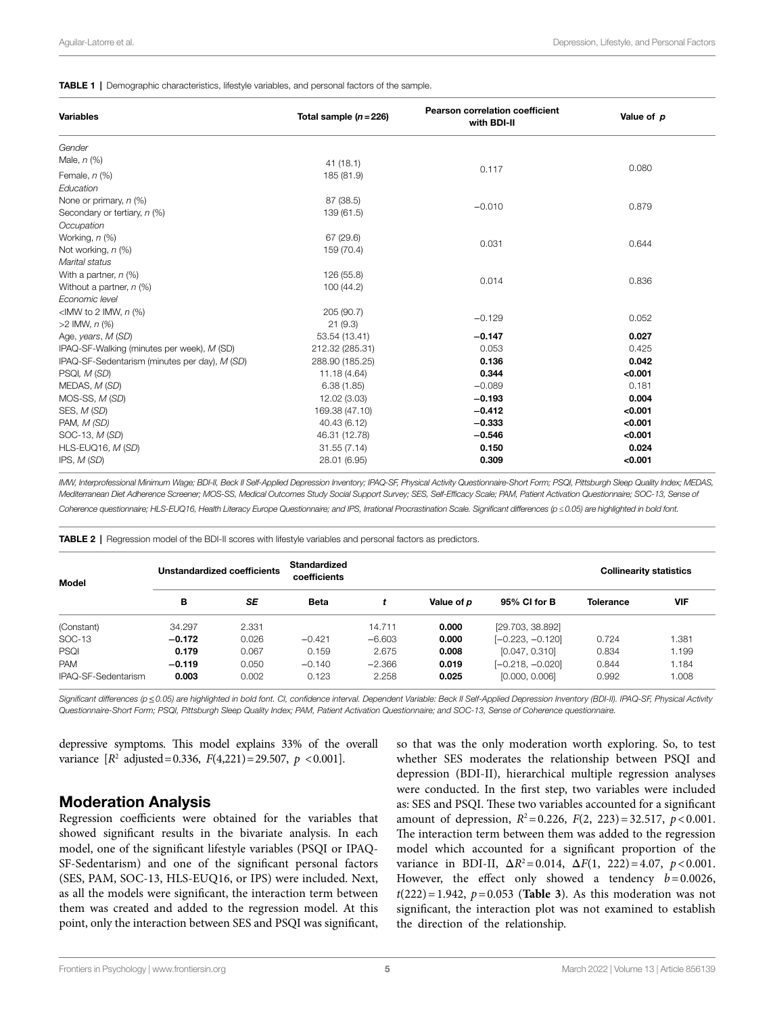#### <span id="page-4-0"></span>**TABLE 1** | Demographic characteristics, lifestyle variables, and personal factors of the sample.

| <b>Variables</b>                              | Total sample $(n=226)$ | <b>Pearson correlation coefficient</b><br>with BDI-II | Value of p |  |
|-----------------------------------------------|------------------------|-------------------------------------------------------|------------|--|
| Gender                                        |                        |                                                       |            |  |
| Male, $n$ $(\%)$                              | 41(18.1)               |                                                       | 0.080      |  |
| Female, $n$ (%)                               | 185 (81.9)             | 0.117                                                 |            |  |
| Education                                     |                        |                                                       |            |  |
| None or primary, $n$ (%)                      | 87 (38.5)              |                                                       |            |  |
| Secondary or tertiary, n (%)                  | 139 (61.5)             | $-0.010$                                              | 0.879      |  |
| Occupation                                    |                        |                                                       |            |  |
| Working, n (%)                                | 67 (29.6)              | 0.031                                                 | 0.644      |  |
| Not working, n (%)                            | 159 (70.4)             |                                                       |            |  |
| Marital status                                |                        |                                                       |            |  |
| With a partner, $n$ (%)                       | 126 (55.8)             | 0.014                                                 | 0.836      |  |
| Without a partner, $n$ (%)                    | 100 (44.2)             |                                                       |            |  |
| Economic level                                |                        |                                                       |            |  |
| <imw 2="" <math="" imw,="" to="">n (%)</imw>  | 205 (90.7)             | $-0.129$                                              | 0.052      |  |
| $>2$ IMW, $n$ (%)                             | 21(9.3)                |                                                       |            |  |
| Age, years, M (SD)                            | 53.54 (13.41)          | $-0.147$                                              | 0.027      |  |
| IPAQ-SF-Walking (minutes per week), M (SD)    | 212.32 (285.31)        | 0.053                                                 | 0.425      |  |
| IPAQ-SF-Sedentarism (minutes per day), M (SD) | 288.90 (185.25)        | 0.136                                                 | 0.042      |  |
| PSQI, M (SD)                                  | 11.18 (4.64)           | 0.344                                                 | < 0.001    |  |
| MEDAS, M (SD)                                 | 6.38(1.85)             | $-0.089$                                              | 0.181      |  |
| MOS-SS, M (SD)                                | 12.02 (3.03)           | $-0.193$                                              | 0.004      |  |
| SES, M (SD)                                   | 169.38 (47.10)         | $-0.412$                                              | < 0.001    |  |
| PAM, M (SD)                                   | 40.43 (6.12)           | $-0.333$                                              | < 0.001    |  |
| SOC-13, M (SD)                                | 46.31 (12.78)          | $-0.546$                                              | < 0.001    |  |
| HLS-EUQ16, M (SD)                             | 31.55(7.14)            | 0.150                                                 | 0.024      |  |
| IPS, M(SD)                                    | 28.01 (6.95)           | 0.309                                                 | < 0.001    |  |

*IMW, Interprofessional Minimum Wage; BDI-II, Beck II Self-Applied Depression Inventory; IPAQ-SF, Physical Activity Questionnaire-Short Form; PSQI, Pittsburgh Sleep Quality Index; MEDAS, Mediterranean Diet Adherence Screener; MOS-SS, Medical Outcomes Study Social Support Survey; SES, Self-Efficacy Scale; PAM, Patient Activation Questionnaire; SOC-13, Sense of Coherence questionnaire; HLS-EUQ16, Health Literacy Europe Questionnaire; and IPS, Irrational Procrastination Scale. Significant differences (p≤0.05) are highlighted in bold font.*

<span id="page-4-1"></span>TABLE 2 | Regression model of the BDI-II scores with lifestyle variables and personal factors as predictors.

| Model               | Unstandardized coefficients |       | <b>Standardized</b><br>coefficients |          |            |                    | <b>Collinearity statistics</b> |            |
|---------------------|-----------------------------|-------|-------------------------------------|----------|------------|--------------------|--------------------------------|------------|
|                     | в                           | SE    | <b>Beta</b>                         |          | Value of p | 95% CI for B       | <b>Tolerance</b>               | <b>VIF</b> |
| (Constant)          | 34.297                      | 2.331 |                                     | 14.711   | 0.000      | [29.703, 38.892]   |                                |            |
| SOC-13              | $-0.172$                    | 0.026 | $-0.421$                            | $-6.603$ | 0.000      | $[-0.223, -0.120]$ | 0.724                          | 1.381      |
| PSQI                | 0.179                       | 0.067 | 0.159                               | 2.675    | 0.008      | [0.047, 0.310]     | 0.834                          | 1.199      |
| <b>PAM</b>          | $-0.119$                    | 0.050 | $-0.140$                            | $-2.366$ | 0.019      | [-0.218, -0.020]   | 0.844                          | 1.184      |
| IPAQ-SF-Sedentarism | 0.003                       | 0.002 | 0.123                               | 2.258    | 0.025      | [0.000, 0.006]     | 0.992                          | 1.008      |

*Significant differences (p*≤*0.05) are highlighted in bold font. CI, confidence interval. Dependent Variable: Beck II Self-Applied Depression Inventory (BDI-II). IPAQ-SF, Physical Activity Questionnaire-Short Form; PSQI, Pittsburgh Sleep Quality Index; PAM, Patient Activation Questionnaire; and SOC-13, Sense of Coherence questionnaire.*

depressive symptoms. This model explains 33% of the overall variance  $[R^2 \text{ adjusted} = 0.336, F(4,221) = 29.507, p < 0.001].$ 

# Moderation Analysis

Regression coefficients were obtained for the variables that showed significant results in the bivariate analysis. In each model, one of the significant lifestyle variables (PSQI or IPAQ-SF-Sedentarism) and one of the significant personal factors (SES, PAM, SOC-13, HLS-EUQ16, or IPS) were included. Next, as all the models were significant, the interaction term between them was created and added to the regression model. At this point, only the interaction between SES and PSQI was significant, so that was the only moderation worth exploring. So, to test whether SES moderates the relationship between PSQI and depression (BDI-II), hierarchical multiple regression analyses were conducted. In the first step, two variables were included as: SES and PSQI. These two variables accounted for a significant amount of depression,  $R^2 = 0.226$ ,  $F(2, 223) = 32.517$ ,  $p < 0.001$ . The interaction term between them was added to the regression model which accounted for a significant proportion of the variance in BDI-II,  $\Delta R^2 = 0.014$ ,  $\Delta F(1, 222) = 4.07$ ,  $p < 0.001$ . However, the effect only showed a tendency *b*=0.0026,  $t(222) = 1.942$ ,  $p = 0.053$  (**Table 3**). As this moderation was not significant, the interaction plot was not examined to establish the direction of the relationship.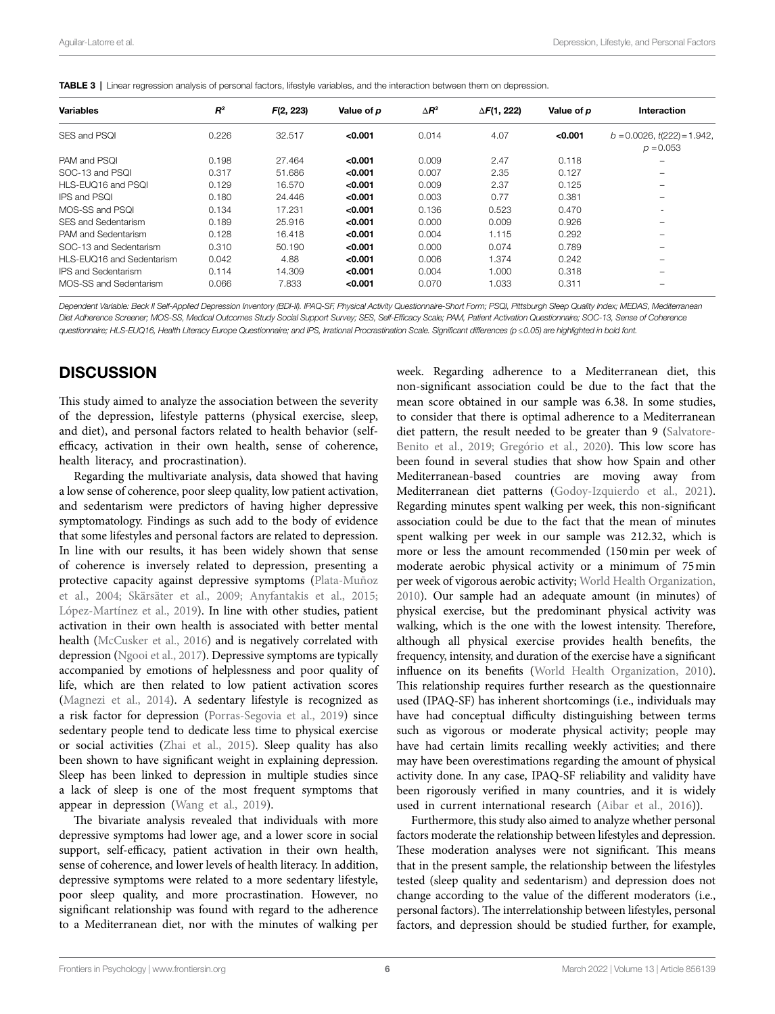| <b>Variables</b>           | $R^2$ | F(2, 223) | Value of p | $\Delta$ R <sup>2</sup> | $\Delta F(1, 222)$ | Value of p | Interaction                                      |
|----------------------------|-------|-----------|------------|-------------------------|--------------------|------------|--------------------------------------------------|
| SES and PSOL               | 0.226 | 32.517    | < 0.001    | 0.014                   | 4.07               | < 0.001    | $b = 0.0026$ , $t(222) = 1.942$ ,<br>$p = 0.053$ |
| PAM and PSOL               | 0.198 | 27.464    | < 0.001    | 0.009                   | 2.47               | 0.118      |                                                  |
| SOC-13 and PSOL            | 0.317 | 51.686    | < 0.001    | 0.007                   | 2.35               | 0.127      |                                                  |
| HLS-EUQ16 and PSQL         | 0.129 | 16.570    | < 0.001    | 0.009                   | 2.37               | 0.125      | $\overline{\phantom{a}}$                         |
| <b>IPS and PSOL</b>        | 0.180 | 24.446    | < 0.001    | 0.003                   | 0.77               | 0.381      |                                                  |
| MOS-SS and PSOL            | 0.134 | 17.231    | < 0.001    | 0.136                   | 0.523              | 0.470      | $\overline{\phantom{a}}$                         |
| SES and Sedentarism        | 0.189 | 25.916    | < 0.001    | 0.000                   | 0.009              | 0.926      | $\overline{\phantom{a}}$                         |
| PAM and Sedentarism        | 0.128 | 16.418    | < 0.001    | 0.004                   | 1.115              | 0.292      |                                                  |
| SOC-13 and Sedentarism     | 0.310 | 50.190    | < 0.001    | 0.000                   | 0.074              | 0.789      |                                                  |
| HLS-EUQ16 and Sedentarism  | 0.042 | 4.88      | < 0.001    | 0.006                   | 1.374              | 0.242      | $\overline{\phantom{a}}$                         |
| <b>IPS and Sedentarism</b> | 0.114 | 14.309    | < 0.001    | 0.004                   | 1.000              | 0.318      |                                                  |
| MOS-SS and Sedentarism     | 0.066 | 7.833     | < 0.001    | 0.070                   | 1.033              | 0.311      |                                                  |
|                            |       |           |            |                         |                    |            |                                                  |

<span id="page-5-0"></span>TABLE 3 | Linear regression analysis of personal factors, lifestyle variables, and the interaction between them on depression.

*Dependent Variable: Beck II Self-Applied Depression Inventory (BDI-II). IPAQ-SF, Physical Activity Questionnaire-Short Form; PSQI, Pittsburgh Sleep Quality Index; MEDAS, Mediterranean Diet Adherence Screener; MOS-SS, Medical Outcomes Study Social Support Survey; SES, Self-Efficacy Scale; PAM, Patient Activation Questionnaire; SOC-13, Sense of Coherence questionnaire; HLS-EUQ16, Health Literacy Europe Questionnaire; and IPS, Irrational Procrastination Scale. Significant differences (p≤0.05) are highlighted in bold font.*

# **DISCUSSION**

This study aimed to analyze the association between the severity of the depression, lifestyle patterns (physical exercise, sleep, and diet), and personal factors related to health behavior (selfefficacy, activation in their own health, sense of coherence, health literacy, and procrastination).

Regarding the multivariate analysis, data showed that having a low sense of coherence, poor sleep quality, low patient activation, and sedentarism were predictors of having higher depressive symptomatology. Findings as such add to the body of evidence that some lifestyles and personal factors are related to depression. In line with our results, it has been widely shown that sense of coherence is inversely related to depression, presenting a protective capacity against depressive symptoms ([Plata-Muñoz](#page-8-20)  [et al., 2004](#page-8-20); [Skärsäter et al., 2009](#page-8-21); [Anyfantakis et al., 2015](#page-7-35); [López-Martínez et al., 2019\)](#page-7-36). In line with other studies, patient activation in their own health is associated with better mental health [\(McCusker et al., 2016](#page-7-37)) and is negatively correlated with depression ([Ngooi et al., 2017](#page-7-38)). Depressive symptoms are typically accompanied by emotions of helplessness and poor quality of life, which are then related to low patient activation scores ([Magnezi et al., 2014\)](#page-7-14). A sedentary lifestyle is recognized as a risk factor for depression [\(Porras-Segovia et al., 2019](#page-8-22)) since sedentary people tend to dedicate less time to physical exercise or social activities ([Zhai et al., 2015\)](#page-8-23). Sleep quality has also been shown to have significant weight in explaining depression. Sleep has been linked to depression in multiple studies since a lack of sleep is one of the most frequent symptoms that appear in depression (Wang et al., 2019).

The bivariate analysis revealed that individuals with more depressive symptoms had lower age, and a lower score in social support, self-efficacy, patient activation in their own health, sense of coherence, and lower levels of health literacy. In addition, depressive symptoms were related to a more sedentary lifestyle, poor sleep quality, and more procrastination. However, no significant relationship was found with regard to the adherence to a Mediterranean diet, nor with the minutes of walking per week. Regarding adherence to a Mediterranean diet, this non-significant association could be due to the fact that the mean score obtained in our sample was 6.38. In some studies, to consider that there is optimal adherence to a Mediterranean diet pattern, the result needed to be greater than 9 ([Salvatore-](#page-8-24)[Benito et al., 2019;](#page-8-24) [Gregório et al., 2020](#page-7-39)). This low score has been found in several studies that show how Spain and other Mediterranean-based countries are moving away from Mediterranean diet patterns [\(Godoy-Izquierdo et al., 2021\)](#page-7-40). Regarding minutes spent walking per week, this non-significant association could be due to the fact that the mean of minutes spent walking per week in our sample was 212.32, which is more or less the amount recommended (150min per week of moderate aerobic physical activity or a minimum of 75min per week of vigorous aerobic activity; [World Health Organization,](#page-8-25)  [2010\)](#page-8-25). Our sample had an adequate amount (in minutes) of physical exercise, but the predominant physical activity was walking, which is the one with the lowest intensity. Therefore, although all physical exercise provides health benefits, the frequency, intensity, and duration of the exercise have a significant influence on its benefits [\(World Health Organization, 2010\)](#page-8-25). This relationship requires further research as the questionnaire used (IPAQ-SF) has inherent shortcomings (i.e., individuals may have had conceptual difficulty distinguishing between terms such as vigorous or moderate physical activity; people may have had certain limits recalling weekly activities; and there may have been overestimations regarding the amount of physical activity done. In any case, IPAQ-SF reliability and validity have been rigorously verified in many countries, and it is widely used in current international research [\(Aibar et al., 2016\)](#page-6-1)).

Furthermore, this study also aimed to analyze whether personal factors moderate the relationship between lifestyles and depression. These moderation analyses were not significant. This means that in the present sample, the relationship between the lifestyles tested (sleep quality and sedentarism) and depression does not change according to the value of the different moderators (i.e., personal factors). The interrelationship between lifestyles, personal factors, and depression should be studied further, for example,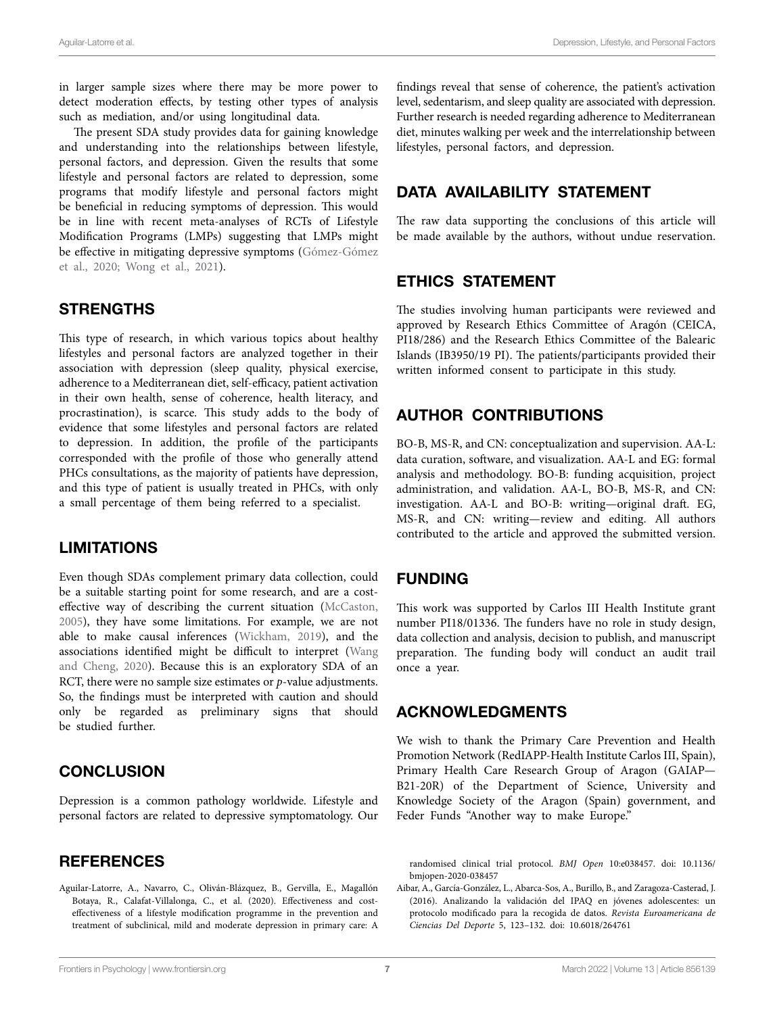in larger sample sizes where there may be more power to detect moderation effects, by testing other types of analysis such as mediation, and/or using longitudinal data.

The present SDA study provides data for gaining knowledge and understanding into the relationships between lifestyle, personal factors, and depression. Given the results that some lifestyle and personal factors are related to depression, some programs that modify lifestyle and personal factors might be beneficial in reducing symptoms of depression. This would be in line with recent meta-analyses of RCTs of Lifestyle Modification Programs (LMPs) suggesting that LMPs might be effective in mitigating depressive symptoms [\(Gómez-Gómez](#page-7-41)  [et al., 2020](#page-7-41); [Wong et al., 2021](#page-8-3)).

# **STRENGTHS**

This type of research, in which various topics about healthy lifestyles and personal factors are analyzed together in their association with depression (sleep quality, physical exercise, adherence to a Mediterranean diet, self-efficacy, patient activation in their own health, sense of coherence, health literacy, and procrastination), is scarce. This study adds to the body of evidence that some lifestyles and personal factors are related to depression. In addition, the profile of the participants corresponded with the profile of those who generally attend PHCs consultations, as the majority of patients have depression, and this type of patient is usually treated in PHCs, with only a small percentage of them being referred to a specialist.

# LIMITATIONS

Even though SDAs complement primary data collection, could be a suitable starting point for some research, and are a costeffective way of describing the current situation [\(McCaston,](#page-7-42)  [2005\)](#page-7-42), they have some limitations. For example, we are not able to make causal inferences ([Wickham, 2019](#page-8-10)), and the associations identified might be difficult to interpret ([Wang](#page-8-26)  [and Cheng, 2020](#page-8-26)). Because this is an exploratory SDA of an RCT, there were no sample size estimates or *p*-value adjustments. So, the findings must be interpreted with caution and should only be regarded as preliminary signs that should be studied further.

# **CONCLUSION**

Depression is a common pathology worldwide. Lifestyle and personal factors are related to depressive symptomatology. Our

# **REFERENCES**

<span id="page-6-0"></span>Aguilar-Latorre, A., Navarro, C., Oliván-Blázquez, B., Gervilla, E., Magallón Botaya, R., Calafat-Villalonga, C., et al. (2020). Effectiveness and costeffectiveness of a lifestyle modification programme in the prevention and treatment of subclinical, mild and moderate depression in primary care: A

findings reveal that sense of coherence, the patient's activation level, sedentarism, and sleep quality are associated with depression. Further research is needed regarding adherence to Mediterranean diet, minutes walking per week and the interrelationship between lifestyles, personal factors, and depression.

# DATA AVAILABILITY STATEMENT

The raw data supporting the conclusions of this article will be made available by the authors, without undue reservation.

# ETHICS STATEMENT

The studies involving human participants were reviewed and approved by Research Ethics Committee of Aragón (CEICA, PI18/286) and the Research Ethics Committee of the Balearic Islands (IB3950/19 PI). The patients/participants provided their written informed consent to participate in this study.

# AUTHOR CONTRIBUTIONS

BO-B, MS-R, and CN: conceptualization and supervision. AA-L: data curation, software, and visualization. AA-L and EG: formal analysis and methodology. BO-B: funding acquisition, project administration, and validation. AA-L, BO-B, MS-R, and CN: investigation. AA-L and BO-B: writing—original draft. EG, MS-R, and CN: writing—review and editing. All authors contributed to the article and approved the submitted version.

# FUNDING

This work was supported by Carlos III Health Institute grant number PI18/01336. The funders have no role in study design, data collection and analysis, decision to publish, and manuscript preparation. The funding body will conduct an audit trail once a year.

# ACKNOWLEDGMENTS

We wish to thank the Primary Care Prevention and Health Promotion Network (RedIAPP-Health Institute Carlos III, Spain), Primary Health Care Research Group of Aragon (GAIAP— B21-20R) of the Department of Science, University and Knowledge Society of the Aragon (Spain) government, and Feder Funds "Another way to make Europe."

randomised clinical trial protocol. *BMJ Open* 10:e038457. doi: [10.1136/](https://doi.org/10.1136/bmjopen-2020-038457) [bmjopen-2020-038457](https://doi.org/10.1136/bmjopen-2020-038457)

<span id="page-6-1"></span>Aibar, A., García-González, L., Abarca-Sos, A., Burillo, B., and Zaragoza-Casterad, J. (2016). Analizando la validación del IPAQ en jóvenes adolescentes: un protocolo modificado para la recogida de datos. *Revista Euroamericana de Ciencias Del Deporte* 5, 123–132. doi: [10.6018/264761](https://doi.org/10.6018/264761)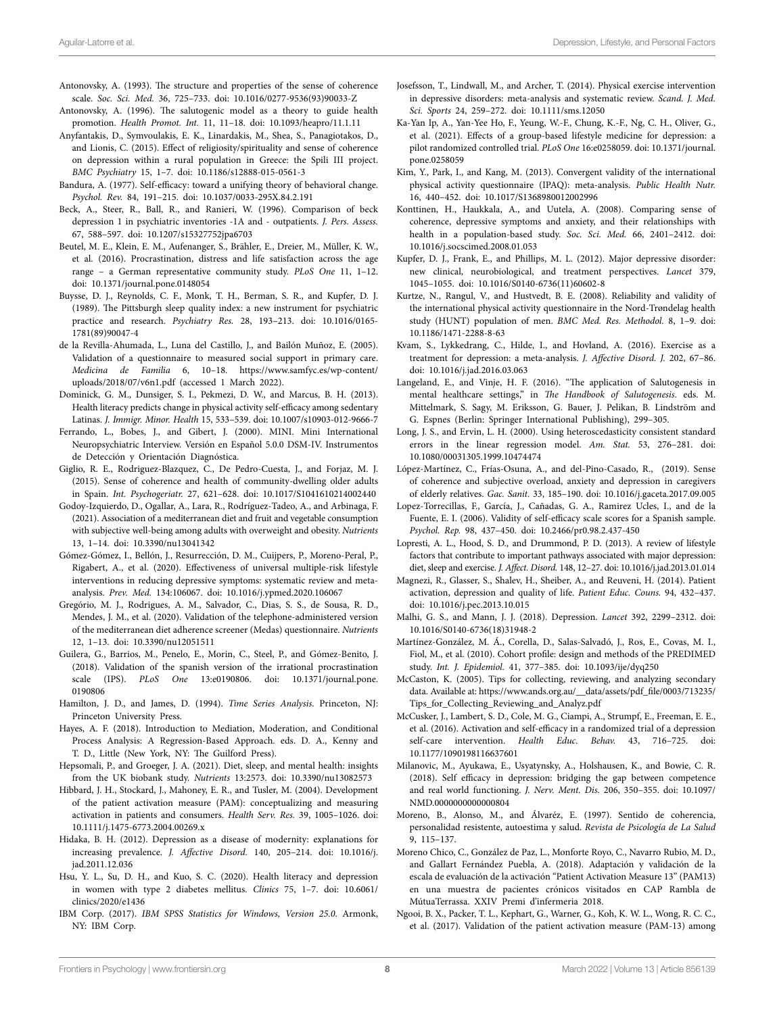- <span id="page-7-9"></span>Antonovsky, A. (1993). The structure and properties of the sense of coherence scale. *Soc. Sci. Med.* 36, 725–733. doi: [10.1016/0277-9536\(93\)90033-Z](https://doi.org/10.1016/0277-9536(93)90033-Z)
- <span id="page-7-19"></span>Antonovsky, A. (1996). The salutogenic model as a theory to guide health promotion. *Health Promot. Int.* 11, 11–18. doi: [10.1093/heapro/11.1.11](https://doi.org/10.1093/heapro/11.1.11)
- <span id="page-7-35"></span>Anyfantakis, D., Symvoulakis, E. K., Linardakis, M., Shea, S., Panagiotakos, D., and Lionis, C. (2015). Effect of religiosity/spirituality and sense of coherence on depression within a rural population in Greece: the Spili III project. *BMC Psychiatry* 15, 1–7. doi: [10.1186/s12888-015-0561-3](https://doi.org/10.1186/s12888-015-0561-3)
- <span id="page-7-11"></span>Bandura, A. (1977). Self-efficacy: toward a unifying theory of behavioral change. *Psychol. Rev.* 84, 191–215. doi: [10.1037/0033-295X.84.2.191](https://doi.org/10.1037/0033-295X.84.2.191)
- <span id="page-7-21"></span>Beck, A., Steer, R., Ball, R., and Ranieri, W. (1996). Comparison of beck depression 1 in psychiatric inventories -1A and - outpatients. *J. Pers. Assess.* 67, 588–597. doi: [10.1207/s15327752jpa6703](https://doi.org/10.1207/s15327752jpa6703)
- <span id="page-7-18"></span>Beutel, M. E., Klein, E. M., Aufenanger, S., Brähler, E., Dreier, M., Müller, K. W., et al. (2016). Procrastination, distress and life satisfaction across the age range – a German representative community study. *PLoS One* 11, 1–12. doi: [10.1371/journal.pone.0148054](https://doi.org/10.1371/journal.pone.0148054)
- <span id="page-7-27"></span>Buysse, D. J., Reynolds, C. F., Monk, T. H., Berman, S. R., and Kupfer, D. J. (1989). The Pittsburgh sleep quality index: a new instrument for psychiatric practice and research. *Psychiatry Res.* 28, 193–213. doi: [10.1016/0165-](https://doi.org/10.1016/0165-1781(89)90047-4) [1781\(89\)90047-4](https://doi.org/10.1016/0165-1781(89)90047-4)
- <span id="page-7-23"></span>de la Revilla-Ahumada, L., Luna del Castillo, J., and Bailón Muñoz, E. (2005). Validation of a questionnaire to measured social support in primary care. *Medicina de Familia* 6, 10–18. [https://www.samfyc.es/wp-content/](https://www.samfyc.es/wp-content/uploads/2018/07/v6n1.pdf) [uploads/2018/07/v6n1.pdf](https://www.samfyc.es/wp-content/uploads/2018/07/v6n1.pdf) (accessed 1 March 2022).
- <span id="page-7-12"></span>Dominick, G. M., Dunsiger, S. I., Pekmezi, D. W., and Marcus, B. H. (2013). Health literacy predicts change in physical activity self-efficacy among sedentary Latinas. *J. Immigr. Minor. Health* 15, 533–539. doi: [10.1007/s10903-012-9666-7](https://doi.org/10.1007/s10903-012-9666-7)
- <span id="page-7-22"></span>Ferrando, L., Bobes, J., and Gibert, J. (2000). MINI. Mini International Neuropsychiatric Interview. Versión en Español 5.0.0 DSM-IV. Instrumentos de Detección y Orientación Diagnóstica.
- <span id="page-7-16"></span>Giglio, R. E., Rodriguez-Blazquez, C., De Pedro-Cuesta, J., and Forjaz, M. J. (2015). Sense of coherence and health of community-dwelling older adults in Spain. *Int. Psychogeriatr.* 27, 621–628. doi: [10.1017/S1041610214002440](https://doi.org/10.1017/S1041610214002440)
- <span id="page-7-40"></span>Godoy-Izquierdo, D., Ogallar, A., Lara, R., Rodríguez-Tadeo, A., and Arbinaga, F. (2021). Association of a mediterranean diet and fruit and vegetable consumption with subjective well-being among adults with overweight and obesity. *Nutrients* 13, 1–14. doi: [10.3390/nu13041342](https://doi.org/10.3390/nu13041342)
- <span id="page-7-41"></span>Gómez-Gómez, I., Bellón, J., Resurrección, D. M., Cuijpers, P., Moreno-Peral, P., Rigabert, A., et al. (2020). Effectiveness of universal multiple-risk lifestyle interventions in reducing depressive symptoms: systematic review and metaanalysis. *Prev. Med.* 134:106067. doi: [10.1016/j.ypmed.2020.106067](https://doi.org/10.1016/j.ypmed.2020.106067)
- <span id="page-7-39"></span>Gregório, M. J., Rodrigues, A. M., Salvador, C., Dias, S. S., de Sousa, R. D., Mendes, J. M., et al. (2020). Validation of the telephone-administered version of the mediterranean diet adherence screener (Medas) questionnaire. *Nutrients* 12, 1–13. doi: [10.3390/nu12051511](https://doi.org/10.3390/nu12051511)
- <span id="page-7-10"></span>Guilera, G., Barrios, M., Penelo, E., Morin, C., Steel, P., and Gómez-Benito, J. (2018). Validation of the spanish version of the irrational procrastination scale (IPS). *PLoS One* 13:e0190806. doi: [10.1371/journal.pone.](https://doi.org/10.1371/journal.pone.0190806) [0190806](https://doi.org/10.1371/journal.pone.0190806)
- <span id="page-7-31"></span>Hamilton, J. D., and James, D. (1994). *Time Series Analysis*. Princeton, NJ: Princeton University Press.
- <span id="page-7-32"></span>Hayes, A. F. (2018). Introduction to Mediation, Moderation, and Conditional Process Analysis: A Regression-Based Approach. eds. D. A., Kenny and T. D., Little (New York, NY: The Guilford Press).
- <span id="page-7-7"></span>Hepsomali, P., and Groeger, J. A. (2021). Diet, sleep, and mental health: insights from the UK biobank study. *Nutrients* 13:2573. doi: [10.3390/nu13082573](https://doi.org/10.3390/nu13082573)
- <span id="page-7-8"></span>Hibbard, J. H., Stockard, J., Mahoney, E. R., and Tusler, M. (2004). Development of the patient activation measure (PAM): conceptualizing and measuring activation in patients and consumers. *Health Serv. Res.* 39, 1005–1026. doi: [10.1111/j.1475-6773.2004.00269.x](https://doi.org/10.1111/j.1475-6773.2004.00269.x)
- <span id="page-7-1"></span>Hidaka, B. H. (2012). Depression as a disease of modernity: explanations for increasing prevalence. *J. Affective Disord.* 140, 205–214. doi: [10.1016/j.](https://doi.org/10.1016/j.jad.2011.12.036) [jad.2011.12.036](https://doi.org/10.1016/j.jad.2011.12.036)
- <span id="page-7-17"></span>Hsu, Y. L., Su, D. H., and Kuo, S. C. (2020). Health literacy and depression in women with type 2 diabetes mellitus. *Clinics* 75, 1–7. doi: [10.6061/](https://doi.org/10.6061/clinics/2020/e1436) [clinics/2020/e1436](https://doi.org/10.6061/clinics/2020/e1436)
- <span id="page-7-33"></span>IBM Corp. (2017). *IBM SPSS Statistics for Windows, Version 25.0*. Armonk, NY: IBM Corp.
- <span id="page-7-5"></span>Josefsson, T., Lindwall, M., and Archer, T. (2014). Physical exercise intervention in depressive disorders: meta-analysis and systematic review. *Scand. J. Med. Sci. Sports* 24, 259–272. doi: [10.1111/sms.12050](https://doi.org/10.1111/sms.12050)
- <span id="page-7-4"></span>Ka-Yan Ip, A., Yan-Yee Ho, F., Yeung, W.-F., Chung, K.-F., Ng, C. H., Oliver, G., et al. (2021). Effects of a group-based lifestyle medicine for depression: a pilot randomized controlled trial. *PLoS One* 16:e0258059. doi: [10.1371/journal.](https://doi.org/10.1371/journal.pone.0258059) [pone.0258059](https://doi.org/10.1371/journal.pone.0258059)
- <span id="page-7-24"></span>Kim, Y., Park, I., and Kang, M. (2013). Convergent validity of the international physical activity questionnaire (IPAQ): meta-analysis. *Public Health Nutr.* 16, 440–452. doi: [10.1017/S1368980012002996](https://doi.org/10.1017/S1368980012002996)
- <span id="page-7-15"></span>Konttinen, H., Haukkala, A., and Uutela, A. (2008). Comparing sense of coherence, depressive symptoms and anxiety, and their relationships with health in a population-based study. *Soc. Sci. Med.* 66, 2401–2412. doi: [10.1016/j.socscimed.2008.01.053](https://doi.org/10.1016/j.socscimed.2008.01.053)
- <span id="page-7-2"></span>Kupfer, D. J., Frank, E., and Phillips, M. L. (2012). Major depressive disorder: new clinical, neurobiological, and treatment perspectives. *Lancet* 379, 1045–1055. doi: [10.1016/S0140-6736\(11\)60602-8](https://doi.org/10.1016/S0140-6736(11)60602-8)
- <span id="page-7-25"></span>Kurtze, N., Rangul, V., and Hustvedt, B. E. (2008). Reliability and validity of the international physical activity questionnaire in the Nord-Trøndelag health study (HUNT) population of men. *BMC Med. Res. Methodol.* 8, 1–9. doi: [10.1186/1471-2288-8-63](https://doi.org/10.1186/1471-2288-8-63)
- <span id="page-7-6"></span>Kvam, S., Lykkedrang, C., Hilde, I., and Hovland, A. (2016). Exercise as a treatment for depression: a meta-analysis. *J. Affective Disord. J.* 202, 67–86. doi: [10.1016/j.jad.2016.03.063](https://doi.org/10.1016/j.jad.2016.03.063)
- <span id="page-7-20"></span>Langeland, E., and Vinje, H. F. (2016). "The application of Salutogenesis in mental healthcare settings," in *The Handbook of Salutogenesis*. eds. M. Mittelmark, S. Sagy, M. Eriksson, G. Bauer, J. Pelikan, B. Lindström and G. Espnes (Berlin: Springer International Publishing), 299–305.
- <span id="page-7-34"></span>Long, J. S., and Ervin, L. H. (2000). Using heteroscedasticity consistent standard errors in the linear regression model. *Am. Stat.* 53, 276–281. doi: [10.1080/00031305.1999.10474474](https://doi.org/10.1080/00031305.1999.10474474)
- <span id="page-7-36"></span>López-Martínez, C., Frías-Osuna, A., and del-Pino-Casado, R., (2019). Sense of coherence and subjective overload, anxiety and depression in caregivers of elderly relatives. *Gac. Sanit.* 33, 185–190. doi: [10.1016/j.gaceta.2017.09.005](https://doi.org/10.1016/j.gaceta.2017.09.005)
- <span id="page-7-28"></span>Lopez-Torrecillas, F., García, J., Cañadas, G. A., Ramirez Ucles, I., and de la Fuente, E. I. (2006). Validity of self-efficacy scale scores for a Spanish sample. *Psychol. Rep.* 98, 437–450. doi: [10.2466/pr0.98.2.437-450](https://doi.org/10.2466/pr0.98.2.437-450)
- <span id="page-7-3"></span>Lopresti, A. L., Hood, S. D., and Drummond, P. D. (2013). A review of lifestyle factors that contribute to important pathways associated with major depression: diet, sleep and exercise. *J. Affect. Disord.* 148, 12–27. doi: [10.1016/j.jad.2013.01.014](https://doi.org/10.1016/j.jad.2013.01.014)
- <span id="page-7-14"></span>Magnezi, R., Glasser, S., Shalev, H., Sheiber, A., and Reuveni, H. (2014). Patient activation, depression and quality of life. *Patient Educ. Couns.* 94, 432–437. doi: [10.1016/j.pec.2013.10.015](https://doi.org/10.1016/j.pec.2013.10.015)
- <span id="page-7-0"></span>Malhi, G. S., and Mann, J. J. (2018). Depression. *Lancet* 392, 2299–2312. doi: [10.1016/S0140-6736\(18\)31948-2](https://doi.org/10.1016/S0140-6736(18)31948-2)
- <span id="page-7-26"></span>Martínez-González, M. Á., Corella, D., Salas-Salvadó, J., Ros, E., Covas, M. I., Fiol, M., et al. (2010). Cohort profile: design and methods of the PREDIMED study. *Int. J. Epidemiol.* 41, 377–385. doi: [10.1093/ije/dyq250](https://doi.org/10.1093/ije/dyq250)
- <span id="page-7-42"></span>McCaston, K. (2005). Tips for collecting, reviewing, and analyzing secondary data. Available at: [https://www.ands.org.au/\\_\\_data/assets/pdf\\_file/0003/713235/](https://www.ands.org.au/__data/assets/pdf_file/0003/713235/Tips_for_Collecting_Reviewing_and_Analyz.pdf) [Tips\\_for\\_Collecting\\_Reviewing\\_and\\_Analyz.pdf](https://www.ands.org.au/__data/assets/pdf_file/0003/713235/Tips_for_Collecting_Reviewing_and_Analyz.pdf)
- <span id="page-7-37"></span>McCusker, J., Lambert, S. D., Cole, M. G., Ciampi, A., Strumpf, E., Freeman, E. E., et al. (2016). Activation and self-efficacy in a randomized trial of a depression self-care intervention. *Health Educ. Behav.* 43, 716–725. doi: [10.1177/1090198116637601](https://doi.org/10.1177/1090198116637601)
- <span id="page-7-13"></span>Milanovic, M., Ayukawa, E., Usyatynsky, A., Holshausen, K., and Bowie, C. R. (2018). Self efficacy in depression: bridging the gap between competence and real world functioning. *J. Nerv. Ment. Dis.* 206, 350–355. doi: [10.1097/](https://doi.org/10.1097/NMD.0000000000000804) [NMD.0000000000000804](https://doi.org/10.1097/NMD.0000000000000804)
- <span id="page-7-30"></span>Moreno, B., Alonso, M., and Álvaréz, E. (1997). Sentido de coherencia, personalidad resistente, autoestima y salud. *Revista de Psicología de La Salud* 9, 115–137.
- <span id="page-7-29"></span>Moreno Chico, C., González de Paz, L., Monforte Royo, C., Navarro Rubio, M. D., and Gallart Fernández Puebla, A. (2018). Adaptación y validación de la escala de evaluación de la activación "Patient Activation Measure 13" (PAM13) en una muestra de pacientes crónicos visitados en CAP Rambla de MútuaTerrassa. XXIV Premi d'infermeria 2018.
- <span id="page-7-38"></span>Ngooi, B. X., Packer, T. L., Kephart, G., Warner, G., Koh, K. W. L., Wong, R. C. C., et al. (2017). Validation of the patient activation measure (PAM-13) among